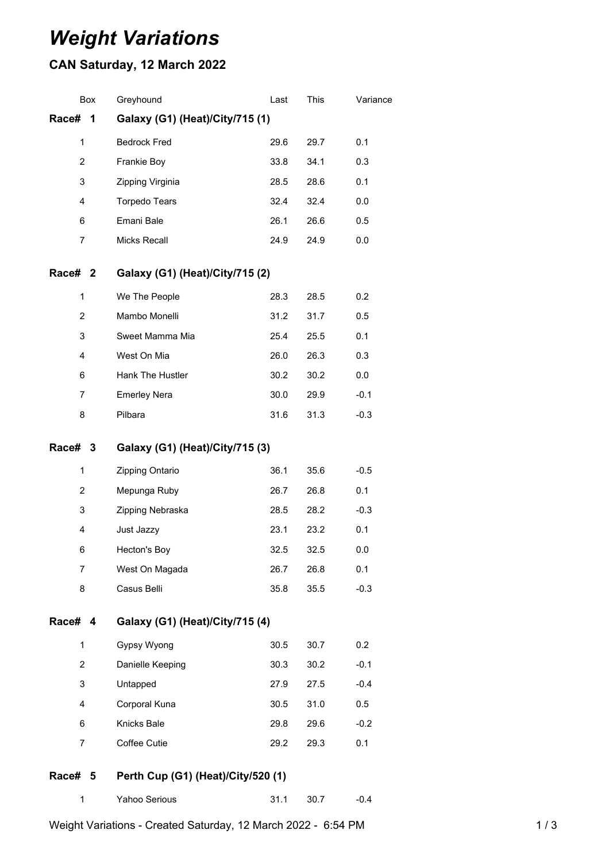## *Weight Variations*

## **CAN Saturday, 12 March 2022**

| Box                                           | Greyhound                       | Last                            | This | Variance |  |  |  |
|-----------------------------------------------|---------------------------------|---------------------------------|------|----------|--|--|--|
| Race#<br>1                                    | Galaxy (G1) (Heat)/City/715 (1) |                                 |      |          |  |  |  |
| 1                                             | <b>Bedrock Fred</b>             | 29.6                            | 29.7 | 0.1      |  |  |  |
| 2                                             | Frankie Boy                     | 33.8                            | 34.1 | 0.3      |  |  |  |
| 3                                             | Zipping Virginia                | 28.5                            | 28.6 | 0.1      |  |  |  |
| 4                                             | <b>Torpedo Tears</b>            | 32.4                            | 32.4 | 0.0      |  |  |  |
| 6                                             | Emani Bale                      | 26.1                            | 26.6 | 0.5      |  |  |  |
| 7                                             | <b>Micks Recall</b>             | 24.9                            | 24.9 | 0.0      |  |  |  |
| Race# 2                                       | Galaxy (G1) (Heat)/City/715 (2) |                                 |      |          |  |  |  |
| 1                                             | We The People                   | 28.3                            | 28.5 | 0.2      |  |  |  |
| $\overline{2}$                                | Mambo Monelli                   | 31.2                            | 31.7 | 0.5      |  |  |  |
| 3                                             | Sweet Mamma Mia                 | 25.4                            | 25.5 | 0.1      |  |  |  |
| 4                                             | West On Mia                     | 26.0                            | 26.3 | 0.3      |  |  |  |
| 6                                             | Hank The Hustler                | 30.2                            | 30.2 | 0.0      |  |  |  |
| 7                                             | <b>Emerley Nera</b>             | 30.0                            | 29.9 | $-0.1$   |  |  |  |
| 8                                             | Pilbara                         | 31.6                            | 31.3 | $-0.3$   |  |  |  |
| Race# 3                                       | Galaxy (G1) (Heat)/City/715 (3) |                                 |      |          |  |  |  |
| 1                                             | Zipping Ontario                 | 36.1                            | 35.6 | $-0.5$   |  |  |  |
| 2                                             | Mepunga Ruby                    | 26.7                            | 26.8 | 0.1      |  |  |  |
| 3                                             | Zipping Nebraska                | 28.5                            | 28.2 | $-0.3$   |  |  |  |
| 4                                             | Just Jazzy                      | 23.1                            | 23.2 | 0.1      |  |  |  |
| 6                                             | Hecton's Boy                    | 32.5                            | 32.5 | 0.0      |  |  |  |
| 7                                             | West On Magada                  | 26.7                            | 26.8 | 0.1      |  |  |  |
| 8                                             | Casus Belli                     | 35.8                            | 35.5 | $-0.3$   |  |  |  |
| Race# 4                                       |                                 | Galaxy (G1) (Heat)/City/715 (4) |      |          |  |  |  |
| 1                                             | Gypsy Wyong                     | 30.5                            | 30.7 | 0.2      |  |  |  |
| $\overline{2}$                                | Danielle Keeping                | 30.3                            | 30.2 | $-0.1$   |  |  |  |
| 3                                             | Untapped                        | 27.9                            | 27.5 | $-0.4$   |  |  |  |
| 4                                             | Corporal Kuna                   | 30.5                            | 31.0 | 0.5      |  |  |  |
| 6                                             | Knicks Bale                     | 29.8                            | 29.6 | $-0.2$   |  |  |  |
| $\overline{7}$                                | Coffee Cutie                    | 29.2                            | 29.3 | 0.1      |  |  |  |
| Perth Cup (G1) (Heat)/City/520 (1)<br>Race# 5 |                                 |                                 |      |          |  |  |  |
| 1                                             | Yahoo Serious                   | 31.1                            | 30.7 | $-0.4$   |  |  |  |

Weight Variations - Created Saturday, 12 March 2022 - 6:54 PM 1 / 3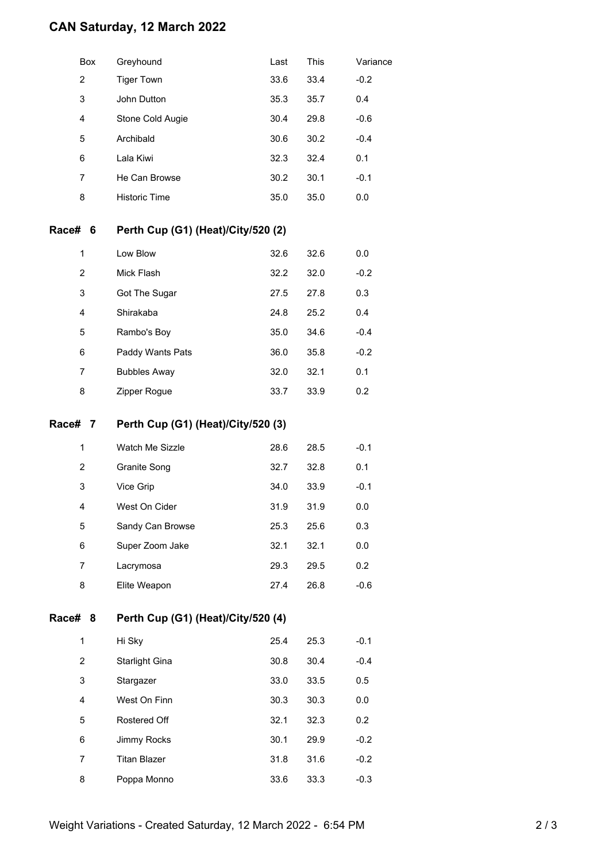## **CAN Saturday, 12 March 2022**

|         | Box            | Greyhound                          | Last | This | Variance |  |  |  |
|---------|----------------|------------------------------------|------|------|----------|--|--|--|
|         | $\overline{2}$ | <b>Tiger Town</b>                  | 33.6 | 33.4 | $-0.2$   |  |  |  |
|         | 3              | John Dutton                        | 35.3 | 35.7 | 0.4      |  |  |  |
|         | 4              | Stone Cold Augie                   | 30.4 | 29.8 | $-0.6$   |  |  |  |
|         | 5              | Archibald                          | 30.6 | 30.2 | $-0.4$   |  |  |  |
|         | 6              | Lala Kiwi                          | 32.3 | 32.4 | 0.1      |  |  |  |
|         | $\overline{7}$ | He Can Browse                      | 30.2 | 30.1 | $-0.1$   |  |  |  |
|         | 8              | <b>Historic Time</b>               | 35.0 | 35.0 | 0.0      |  |  |  |
| Race#   | - 6            | Perth Cup (G1) (Heat)/City/520 (2) |      |      |          |  |  |  |
|         | 1              | Low Blow                           | 32.6 | 32.6 | 0.0      |  |  |  |
|         | $\overline{2}$ | Mick Flash                         | 32.2 | 32.0 | $-0.2$   |  |  |  |
|         | 3              | Got The Sugar                      | 27.5 | 27.8 | 0.3      |  |  |  |
|         | 4              | Shirakaba                          | 24.8 | 25.2 | 0.4      |  |  |  |
|         | 5              | Rambo's Boy                        | 35.0 | 34.6 | $-0.4$   |  |  |  |
|         | 6              | Paddy Wants Pats                   | 36.0 | 35.8 | $-0.2$   |  |  |  |
|         | 7              | <b>Bubbles Away</b>                | 32.0 | 32.1 | 0.1      |  |  |  |
|         | 8              | Zipper Rogue                       | 33.7 | 33.9 | 0.2      |  |  |  |
| Race#   | 7              | Perth Cup (G1) (Heat)/City/520 (3) |      |      |          |  |  |  |
|         | 1              | Watch Me Sizzle                    | 28.6 | 28.5 | $-0.1$   |  |  |  |
|         | 2              | Granite Song                       | 32.7 | 32.8 | 0.1      |  |  |  |
|         | 3              | Vice Grip                          | 34.0 | 33.9 | $-0.1$   |  |  |  |
|         | 4              | West On Cider                      | 31.9 | 31.9 | 0.0      |  |  |  |
|         | 5              | Sandy Can Browse                   | 25.3 | 25.6 | 0.3      |  |  |  |
|         | 6              | Super Zoom Jake                    | 32.1 | 32.1 | 0.0      |  |  |  |
|         | 7              | Lacrymosa                          | 29.3 | 29.5 | 0.2      |  |  |  |
|         | 8              | Elite Weapon                       | 27.4 | 26.8 | $-0.6$   |  |  |  |
| Race# 8 |                | Perth Cup (G1) (Heat)/City/520 (4) |      |      |          |  |  |  |
|         | $\mathbf{1}$   | Hi Sky                             | 25.4 | 25.3 | $-0.1$   |  |  |  |
|         | $\overline{2}$ | <b>Starlight Gina</b>              | 30.8 | 30.4 | $-0.4$   |  |  |  |
|         | 3              | Stargazer                          | 33.0 | 33.5 | 0.5      |  |  |  |
|         | 4              | West On Finn                       | 30.3 | 30.3 | 0.0      |  |  |  |
|         | 5              | Rostered Off                       | 32.1 | 32.3 | 0.2      |  |  |  |
|         | 6              | Jimmy Rocks                        | 30.1 | 29.9 | $-0.2$   |  |  |  |
|         | 7              | <b>Titan Blazer</b>                | 31.8 | 31.6 | $-0.2$   |  |  |  |
|         | 8              | Poppa Monno                        | 33.6 | 33.3 | $-0.3$   |  |  |  |